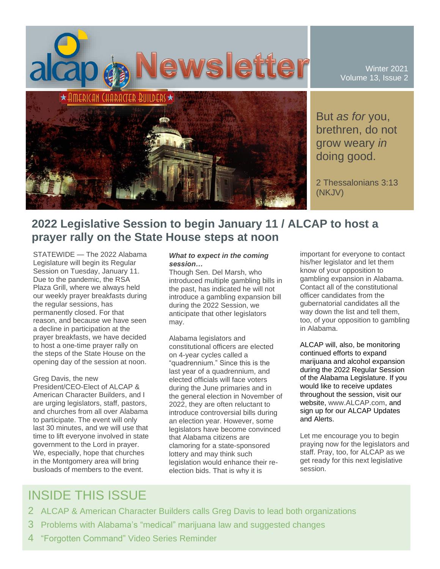

Winter 2021 Volume 13, Issue 2

But *as for* you, brethren, do not grow weary *in* doing good.

2 Thessalonians 3:13 (NKJV)

### **2022 Legislative Session to begin January 11 / ALCAP to host a prayer rally on the State House steps at noon**

STATEWIDE — The 2022 Alabama Legislature will begin its Regular Session on Tuesday, January 11. Due to the pandemic, the RSA Plaza Grill, where we always held our weekly prayer breakfasts during the regular sessions, has permanently closed. For that reason, and because we have seen a decline in participation at the prayer breakfasts, we have decided to host a one-time prayer rally on the steps of the State House on the opening day of the session at noon.

#### Greg Davis, the new

President/CEO-Elect of ALCAP & American Character Builders, and I are urging legislators, staff, pastors, and churches from all over Alabama to participate. The event will only last 30 minutes, and we will use that time to lift everyone involved in state government to the Lord in prayer. We, especially, hope that churches in the Montgomery area will bring busloads of members to the event.

#### *What to expect in the coming session…*

Though Sen. Del Marsh, who introduced multiple gambling bills in the past, has indicated he will not introduce a gambling expansion bill during the 2022 Session, we anticipate that other legislators may.

Alabama legislators and constitutional officers are elected on 4-year cycles called a "quadrennium." Since this is the last year of a quadrennium, and elected officials will face voters during the June primaries and in the general election in November of 2022, they are often reluctant to introduce controversial bills during an election year. However, some legislators have become convinced that Alabama citizens are clamoring for a state-sponsored lottery and may think such legislation would enhance their reelection bids. That is why it is

important for everyone to contact his/her legislator and let them know of your opposition to gambling expansion in Alabama. Contact all of the constitutional officer candidates from the gubernatorial candidates all the way down the list and tell them, too, of your opposition to gambling in Alabama.

ALCAP will, also, be monitoring continued efforts to expand marijuana and alcohol expansion during the 2022 Regular Session of the Alabama Legislature. If you would like to receive updates throughout the session, visit our website, www.ALCAP.com, and sign up for our ALCAP Updates and Alerts.

Let me encourage you to begin praying now for the legislators and staff. Pray, too, for ALCAP as we get ready for this next legislative session.

## INSIDE THIS ISSUE

- 2 ALCAP & American Character Builders calls Greg Davis to lead both organizations
- 3 Problems with Alabama's "medical" marijuana law and suggested changes
- 4 "Forgotten Command" Video Series Reminder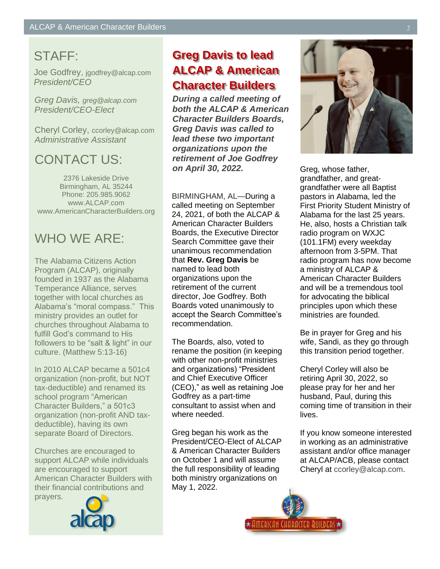# STAFF:

Joe Godfrey, jgodfrey@alcap.com *President/CEO*

*Greg Davis, greg@alcap.com President/CEO-Elect*

Cheryl Corley, ccorley@alcap.com *Administrative Assistant*

## CONTACT US:

2376 Lakeside Drive Birmingham, AL 35244 Phone: 205.985.9062 www.ALCAP.com www.AmericanCharacterBuilders.org

# WHO WE ARE:

The Alabama Citizens Action Program (ALCAP), originally founded in 1937 as the Alabama Temperance Alliance, serves together with local churches as Alabama's "moral compass." This ministry provides an outlet for churches throughout Alabama to fulfill God's command to His followers to be "salt & light" in our culture. (Matthew 5:13-16)

In 2010 ALCAP became a 501c4 organization (non-profit, but NOT tax-deductible) and renamed its school program "American Character Builders," a 501c3 organization (non-profit AND taxdeductible), having its own separate Board of Directors.

Churches are encouraged to support ALCAP while individuals are encouraged to support American Character Builders with their financial contributions and prayers.



# **Greg Davis to lead ALCAP & American Character Builders**

*During a called meeting of both the ALCAP & American Character Builders Boards, Greg Davis was called to lead these two important organizations upon the retirement of Joe Godfrey on April 30, 2022.*

BIRMINGHAM, AL—During a called meeting on September 24, 2021, of both the ALCAP & American Character Builders Boards, the Executive Director Search Committee gave their unanimous recommendation that **Rev. Greg Davis** be named to lead both organizations upon the retirement of the current director, Joe Godfrey. Both Boards voted unanimously to accept the Search Committee's recommendation.

The Boards, also, voted to rename the position (in keeping with other non-profit ministries and organizations) "President and Chief Executive Officer (CEO)," as well as retaining Joe Godfrey as a part-time consultant to assist when and where needed.

Greg began his work as the President/CEO-Elect of ALCAP & American Character Builders on October 1 and will assume the full responsibility of leading both ministry organizations on May 1, 2022.



Greg, whose father, grandfather, and greatgrandfather were all Baptist pastors in Alabama, led the First Priority Student Ministry of Alabama for the last 25 years. He, also, hosts a Christian talk radio program on WXJC (101.1FM) every weekday afternoon from 3-5PM. That radio program has now become a ministry of ALCAP & American Character Builders and will be a tremendous tool for advocating the biblical principles upon which these ministries are founded.

Be in prayer for Greg and his wife, Sandi, as they go through this transition period together.

Cheryl Corley will also be retiring April 30, 2022, so please pray for her and her husband, Paul, during this coming time of transition in their lives.

If you know someone interested in working as an administrative assistant and/or office manager at ALCAP/ACB, please contact Cheryl at ccorley@alcap.com.

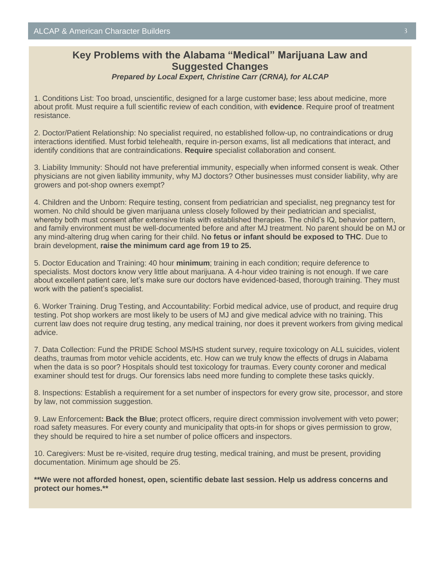#### **Key Problems with the Alabama "Medical" Marijuana Law and Suggested Changes** *Prepared by Local Expert, Christine Carr (CRNA), for ALCAP*

1. Conditions List: Too broad, unscientific, designed for a large customer base; less about medicine, more about profit. Must require a full scientific review of each condition, with **evidence**. Require proof of treatment resistance.

2. Doctor/Patient Relationship: No specialist required, no established follow-up, no contraindications or drug interactions identified. Must forbid telehealth, require in-person exams, list all medications that interact, and identify conditions that are contraindications. **Require** specialist collaboration and consent.

3. Liability Immunity: Should not have preferential immunity, especially when informed consent is weak. Other physicians are not given liability immunity, why MJ doctors? Other businesses must consider liability, why are growers and pot-shop owners exempt?

4. Children and the Unborn: Require testing, consent from pediatrician and specialist, neg pregnancy test for women. No child should be given marijuana unless closely followed by their pediatrician and specialist, whereby both must consent after extensive trials with established therapies. The child's IQ, behavior pattern, and family environment must be well-documented before and after MJ treatment. No parent should be on MJ or any mind-altering drug when caring for their child. N**o fetus or infant should be exposed to THC**. Due to brain development, **raise the minimum card age from 19 to 25.** 

5. Doctor Education and Training: 40 hour **minimum**; training in each condition; require deference to specialists. Most doctors know very little about marijuana. A 4-hour video training is not enough. If we care about excellent patient care, let's make sure our doctors have evidenced-based, thorough training. They must work with the patient's specialist.

6. Worker Training. Drug Testing, and Accountability: Forbid medical advice, use of product, and require drug testing. Pot shop workers are most likely to be users of MJ and give medical advice with no training. This current law does not require drug testing, any medical training, nor does it prevent workers from giving medical advice.

7. Data Collection: Fund the PRIDE School MS/HS student survey, require toxicology on ALL suicides, violent deaths, traumas from motor vehicle accidents, etc. How can we truly know the effects of drugs in Alabama when the data is so poor? Hospitals should test toxicology for traumas. Every county coroner and medical examiner should test for drugs. Our forensics labs need more funding to complete these tasks quickly.

8. Inspections: Establish a requirement for a set number of inspectors for every grow site, processor, and store by law, not commission suggestion.

9. Law Enforcement**: Back the Blue**; protect officers, require direct commission involvement with veto power; road safety measures. For every county and municipality that opts-in for shops or gives permission to grow, they should be required to hire a set number of police officers and inspectors.

10. Caregivers: Must be re-visited, require drug testing, medical training, and must be present, providing documentation. Minimum age should be 25.

**\*\*We were not afforded honest, open, scientific debate last session. Help us address concerns and protect our homes.\*\***